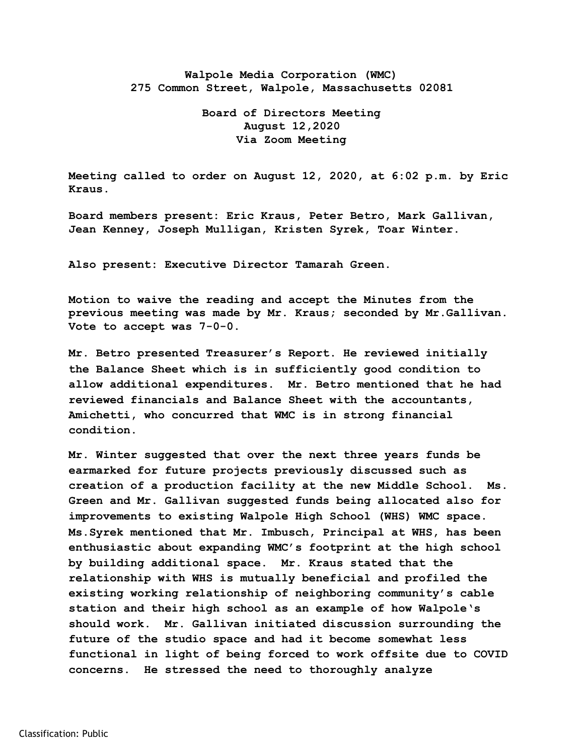## **Walpole Media Corporation (WMC) 275 Common Street, Walpole, Massachusetts 02081**

## **Board of Directors Meeting August 12,2020 Via Zoom Meeting**

**Meeting called to order on August 12, 2020, at 6:02 p.m. by Eric Kraus.** 

**Board members present: Eric Kraus, Peter Betro, Mark Gallivan, Jean Kenney, Joseph Mulligan, Kristen Syrek, Toar Winter.** 

**Also present: Executive Director Tamarah Green.** 

**Motion to waive the reading and accept the Minutes from the previous meeting was made by Mr. Kraus; seconded by Mr.Gallivan. Vote to accept was 7-0-0.** 

**Mr. Betro presented Treasurer's Report. He reviewed initially the Balance Sheet which is in sufficiently good condition to allow additional expenditures. Mr. Betro mentioned that he had reviewed financials and Balance Sheet with the accountants, Amichetti, who concurred that WMC is in strong financial condition.** 

**Mr. Winter suggested that over the next three years funds be earmarked for future projects previously discussed such as creation of a production facility at the new Middle School. Ms. Green and Mr. Gallivan suggested funds being allocated also for improvements to existing Walpole High School (WHS) WMC space. Ms.Syrek mentioned that Mr. Imbusch, Principal at WHS, has been enthusiastic about expanding WMC's footprint at the high school by building additional space. Mr. Kraus stated that the relationship with WHS is mutually beneficial and profiled the existing working relationship of neighboring community's cable station and their high school as an example of how Walpole's should work. Mr. Gallivan initiated discussion surrounding the future of the studio space and had it become somewhat less functional in light of being forced to work offsite due to COVID concerns. He stressed the need to thoroughly analyze**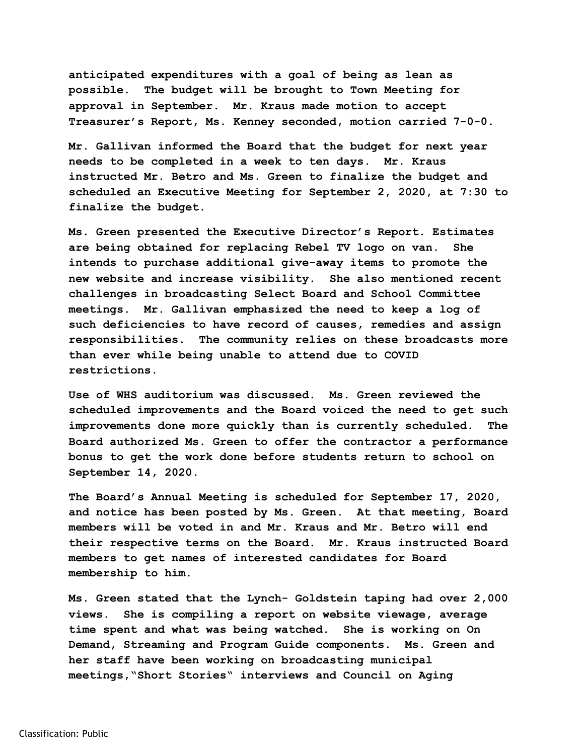**anticipated expenditures with a goal of being as lean as possible. The budget will be brought to Town Meeting for approval in September. Mr. Kraus made motion to accept Treasurer's Report, Ms. Kenney seconded, motion carried 7-0-0.** 

**Mr. Gallivan informed the Board that the budget for next year needs to be completed in a week to ten days. Mr. Kraus instructed Mr. Betro and Ms. Green to finalize the budget and scheduled an Executive Meeting for September 2, 2020, at 7:30 to finalize the budget.** 

**Ms. Green presented the Executive Director's Report. Estimates are being obtained for replacing Rebel TV logo on van. She intends to purchase additional give-away items to promote the new website and increase visibility. She also mentioned recent challenges in broadcasting Select Board and School Committee meetings. Mr. Gallivan emphasized the need to keep a log of such deficiencies to have record of causes, remedies and assign responsibilities. The community relies on these broadcasts more than ever while being unable to attend due to COVID restrictions.** 

**Use of WHS auditorium was discussed. Ms. Green reviewed the scheduled improvements and the Board voiced the need to get such improvements done more quickly than is currently scheduled. The Board authorized Ms. Green to offer the contractor a performance bonus to get the work done before students return to school on September 14, 2020.** 

**The Board's Annual Meeting is scheduled for September 17, 2020, and notice has been posted by Ms. Green. At that meeting, Board members will be voted in and Mr. Kraus and Mr. Betro will end their respective terms on the Board. Mr. Kraus instructed Board members to get names of interested candidates for Board membership to him.** 

**Ms. Green stated that the Lynch- Goldstein taping had over 2,000 views. She is compiling a report on website viewage, average time spent and what was being watched. She is working on On Demand, Streaming and Program Guide components. Ms. Green and her staff have been working on broadcasting municipal meetings,"Short Stories" interviews and Council on Aging**